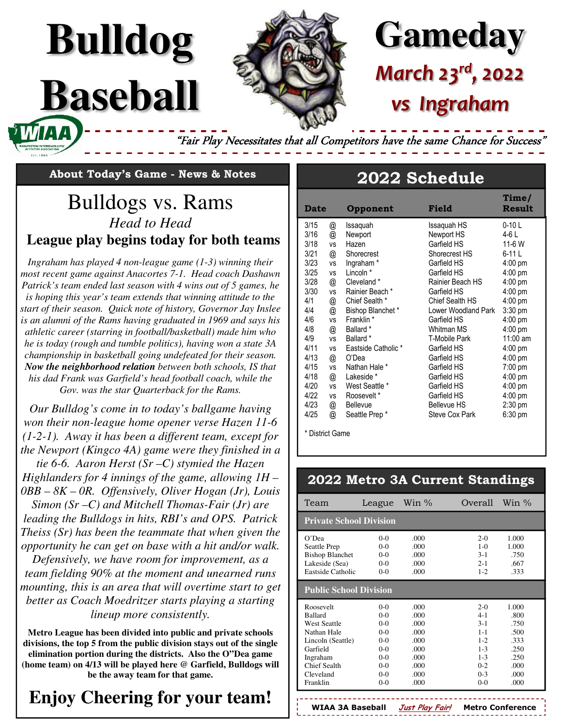# **Gameday** *March 23rd, 2022 vs Ingraham*

"Fair Play Necessitates that all Competitors have the same Chance for Success'

**About Today's Game - News & Notes** 

**Bulldog**

**Baseball** 

## Bulldogs vs. Rams *Head to Head*  **League play begins today for both teams**

*Ingraham has played 4 non-league game (1-3) winning their most recent game against Anacortes 7-1. Head coach Dashawn Patrick's team ended last season with 4 wins out of 5 games, he is hoping this year's team extends that winning attitude to the start of their season. Quick note of history, Governor Jay Inslee is an alumni of the Rams having graduated in 1969 and says his athletic career (starring in football/basketball) made him who he is today (rough and tumble politics), having won a state 3A championship in basketball going undefeated for their season. Now the neighborhood relation between both schools, IS that his dad Frank was Garfield's head football coach, while the Gov. was the star Quarterback for the Rams.* 

*Our Bulldog's come in to today's ballgame having won their non-league home opener verse Hazen 11-6 (1-2-1). Away it has been a different team, except for the Newport (Kingco 4A) game were they finished in a* 

*tie 6-6. Aaron Herst (Sr –C) stymied the Hazen Highlanders for 4 innings of the game, allowing 1H – 0BB – 8K – 0R. Offensively, Oliver Hogan (Jr), Louis* 

*Simon (Sr –C) and Mitchell Thomas-Fair (Jr) are leading the Bulldogs in hits, RBI's and OPS. Patrick Theiss (Sr) has been the teammate that when given the opportunity he can get on base with a hit and/or walk.* 

*Defensively, we have room for improvement, as a team fielding 90% at the moment and unearned runs mounting, this is an area that will overtime start to get better as Coach Moedritzer starts playing a starting lineup more consistently.* 

**Metro League has been divided into public and private schools divisions, the top 5 from the public division stays out of the single elimination portion during the districts. Also the O"Dea game (home team) on 4/13 will be played here @ Garfield, Bulldogs will be the away team for that game.** 

# **Enjoy Cheering for your team!**

### **2022 Schedule**

| <b>Date</b> |               | Opponent             | Field                | Time/<br><b>Result</b> |
|-------------|---------------|----------------------|----------------------|------------------------|
| 3/15        | @             | Issaquah             | Issaguah HS          | $0-10$ L               |
| 3/16        | @             | Newport              | Newport HS           | 4-6 L                  |
| 3/18        | <b>VS</b>     | Hazen                | Garfield HS          | 11-6 W                 |
| 3/21        | @             | Shorecrest           | Shorecrest HS        | 6-11 L                 |
| 3/23        | <b>VS</b>     | Ingraham*            | Garfield HS          | $4:00$ pm              |
| 3/25        | <b>VS</b>     | Lincoln *            | Garfield HS          | $4:00$ pm              |
| 3/28        | @             | Cleveland *          | Rainier Beach HS     | $4:00$ pm              |
| 3/30        | <b>VS</b>     | Rainier Beach *      | Garfield HS          | $4:00$ pm              |
| 4/1         | @             | Chief Sealth *       | Chief Sealth HS      | $4:00$ pm              |
| 4/4         | @             | Bishop Blanchet*     | Lower Woodland Park  | $3:30$ pm              |
| 4/6         | <b>VS</b>     | Franklin *           | Garfield HS          | 4:00 pm                |
| 4/8         | @             | Ballard <sup>*</sup> | Whitman MS           | 4:00 pm                |
| 4/9         | <b>VS</b>     | Ballard *            | <b>T-Mobile Park</b> | 11:00 am               |
| 4/11        | <b>VS</b>     | Eastside Catholic *  | Garfield HS          | $4:00$ pm              |
| 4/13        | $^\copyright$ | O'Dea                | Garfield HS          | $4:00$ pm              |
| 4/15        | <b>VS</b>     | Nathan Hale *        | Garfield HS          | $7:00$ pm              |
| 4/18        | @             | Lakeside *           | Garfield HS          | $4:00$ pm              |
| 4/20        | <b>VS</b>     | West Seattle *       | Garfield HS          | $4:00$ pm              |
| 4/22        | <b>VS</b>     | Roosevelt*           | Garfield HS          | $4:00$ pm              |
| 4/23        | @             | Bellevue             | <b>Bellevue HS</b>   | $2:30$ pm              |
| 4/25        | @             | Seattle Prep*        | Steve Cox Park       | $6:30$ pm              |

\* District Game

#### **2022 Metro 3A Current Standings**

| Team                           | League  | Win $\%$ | Overall Win $\%$ |       |  |  |
|--------------------------------|---------|----------|------------------|-------|--|--|
| <b>Private School Division</b> |         |          |                  |       |  |  |
| O'Dea                          | $0-0$   | .000     | $2-0$            | 1.000 |  |  |
| Seattle Prep                   | $0 - 0$ | .000     | $1 - 0$          | 1.000 |  |  |
| <b>Bishop Blanchet</b>         | $0 - 0$ | .000     | $3 - 1$          | .750  |  |  |
| Lakeside (Sea)                 | $0 - 0$ | .000     | $2 - 1$          | .667  |  |  |
| Eastside Catholic              | $0 - 0$ | .000     | $1 - 2$          | .333  |  |  |
| <b>Public School Division</b>  |         |          |                  |       |  |  |
| Roosevelt                      | $0-0$   | .000     | $2-0$            | 1.000 |  |  |
| <b>Ballard</b>                 | $0-0$   | .000     | $4 - 1$          | -800  |  |  |
| <b>West Seattle</b>            | $0 - 0$ | .000     | $3 - 1$          | .750  |  |  |
| Nathan Hale                    | $0 - 0$ | .000     | $1 - 1$          | .500  |  |  |
| Lincoln (Seattle)              | $0 - 0$ | .000     | $1 - 2$          | .333  |  |  |
| Garfield                       | $0 - 0$ | .000     | $1 - 3$          | .250  |  |  |
| Ingraham                       | $0-0$   | .000     | $1 - 3$          | .250  |  |  |
| Chief Sealth                   | $0 - 0$ | .000     | $0 - 2$          | .000  |  |  |
| Cleveland                      | $0 - 0$ | .000     | $0-3$            | .000  |  |  |
| Franklin                       | $0-0$   | .000     | $0 - 0$          | .000  |  |  |

**WIAA 3A Baseball Just Play Fair! Metro Conference**